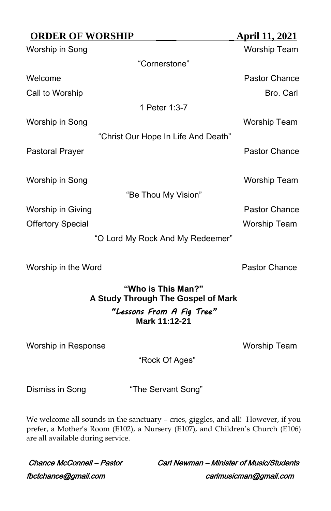| <b>April 11, 2021</b>            |
|----------------------------------|
| <b>Worship Team</b>              |
|                                  |
| Pastor Chance                    |
| Bro. Carl                        |
|                                  |
| Worship Team                     |
|                                  |
| Pastor Chance                    |
| Worship Team                     |
|                                  |
| Pastor Chance                    |
| <b>Worship Team</b>              |
| "O Lord My Rock And My Redeemer" |
|                                  |

Worship in the Word **Pastor Chance** 

# **"Who is This Man?" A Study Through The Gospel of Mark** *"Lessons From A Fig Tree"* **Mark 11:12-21**

Worship in Response Worship Team

"Rock Of Ages"

Dismiss in Song "The Servant Song"

We welcome all sounds in the sanctuary - cries, giggles, and all! However, if you prefer, a Mother's Room (E102), a Nursery (E107), and Children's Church (E106) are all available during service.

fbctchance@gmail.com carlmusicman@gmail.com

Chance McConnell – Pastor Carl Newman – Minister of Music/Students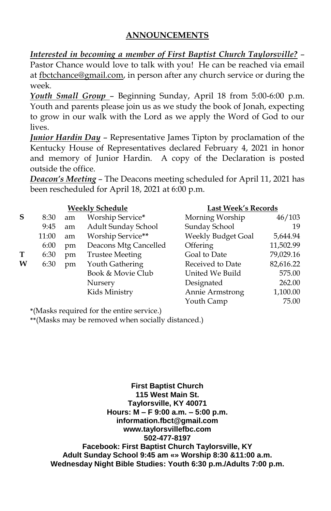# **ANNOUNCEMENTS**

*Interested in becoming a member of First Baptist Church Taylorsville?* – Pastor Chance would love to talk with you! He can be reached via email

at [fbctchance@gmail.com,](mailto:fbctchance@gmail.com) in person after any church service or during the week.

*Youth Small Group* – Beginning Sunday, April 18 from 5:00-6:00 p.m. Youth and parents please join us as we study the book of Jonah, expecting to grow in our walk with the Lord as we apply the Word of God to our lives.

*Junior Hardin Day* – Representative James Tipton by proclamation of the Kentucky House of Representatives declared February 4, 2021 in honor and memory of Junior Hardin. A copy of the Declaration is posted outside the office.

*Deacon's Meeting* – The Deacons meeting scheduled for April 11, 2021 has been rescheduled for April 18, 2021 at 6:00 p.m.

|   | <b>Weekly Schedule</b> |    |                        | <b>Last Week's Records</b> |           |
|---|------------------------|----|------------------------|----------------------------|-----------|
| S | 8:30                   | am | Worship Service*       | Morning Worship            | 46/103    |
|   | 9:45                   | am | Adult Sunday School    | Sunday School              | 19        |
|   | 11:00                  | am | Worship Service**      | Weekly Budget Goal         | 5,644.94  |
|   | 6:00                   | pm | Deacons Mtg Cancelled  | Offering                   | 11,502.99 |
| Т | 6:30                   | pm | <b>Trustee Meeting</b> | Goal to Date               | 79,029.16 |
| W | 6:30                   | pm | Youth Gathering        | Received to Date           | 82,616.22 |
|   |                        |    | Book & Movie Club      | United We Build            | 575.00    |
|   |                        |    | Nursery                | Designated                 | 262.00    |
|   |                        |    | Kids Ministry          | Annie Armstrong            | 1,100.00  |
|   |                        |    |                        | Youth Camp                 | 75.00     |

**\***(Masks required for the entire service.)

**\*\***(Masks may be removed when socially distanced.)

**First Baptist Church 115 West Main St. Taylorsville, KY 40071 Hours: M – F 9:00 a.m. – 5:00 p.m. information.fbct@gmail.com www.taylorsvillefbc.com 502-477-8197 Facebook: First Baptist Church Taylorsville, KY Adult Sunday School 9:45 am «» Worship 8:30 &11:00 a.m. Wednesday Night Bible Studies: Youth 6:30 p.m./Adults 7:00 p.m.**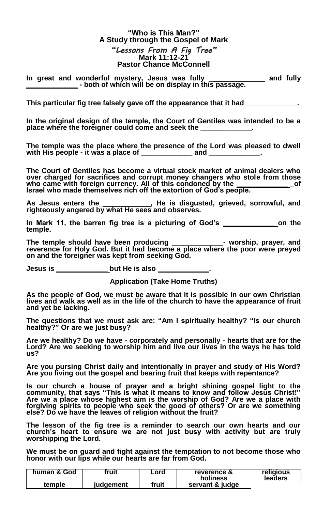## **"Who is This Man?" A Study through the Gospel of Mark** *"Lessons From A Fig Tree"* **Mark 11:12-21 Pastor Chance McConnell**

**In great and wonderful mystery, Jesus was fully \_\_\_\_\_\_\_\_\_\_\_\_\_ and fully \_\_\_\_\_\_\_\_\_\_\_\_\_ - both of which will be on display in this passage.**

This particular fig tree falsely gave off the appearance that it had

**In the original design of the temple, the Court of Gentiles was intended to be a place where the foreigner could come and seek the \_\_\_\_\_\_\_\_\_\_\_\_\_.**

**The temple was the place where the presence of the Lord was pleased to dwell with His people - it was a place of \_\_\_\_\_\_\_\_\_\_\_\_\_ and \_\_\_\_\_\_\_\_\_\_\_\_\_.**

**The Court of Gentiles has become a virtual stock market of animal dealers who over charged for sacrifices and corrupt money changers who stole from those who came with foreign currency. All of this condoned by the \_\_\_\_\_\_\_\_\_\_\_\_\_ \_of Israel who made themselves rich off the extortion of God's people.**

**As Jesus enters the\_\_\_\_\_\_\_\_\_\_\_\_\_, He is disgusted, grieved, sorrowful, and righteously angered by what He sees and observes.**

**In Mark 11, the barren fig tree is a picturing of God's \_\_\_\_\_\_\_\_\_\_\_\_\_ on the temple.**

**The temple should have been producing \_\_\_\_\_\_\_\_\_\_\_\_\_- worship, prayer, and reverence for Holy God. But it had become a place where the poor were preyed on and the foreigner was kept from seeking God.**

**Jesus is \_\_\_\_\_\_\_\_\_\_\_\_\_ but He is also \_\_\_\_\_\_\_\_\_\_\_\_\_.**

**Application (Take Home Truths)**

**As the people of God, we must be aware that it is possible in our own Christian lives and walk as well as in the life of the church to have the appearance of fruit and yet be lacking.**

**The questions that we must ask are: "Am I spiritually healthy? "Is our church healthy?" Or are we just busy?** 

**Are we healthy? Do we have - corporately and personally - hearts that are for the Lord? Are we seeking to worship him and live our lives in the ways he has told us?**

**Are you pursing Christ daily and intentionally in prayer and study of His Word? Are you living out the gospel and bearing fruit that keeps with repentance?**

Is our church a house of prayer and a bright shining gospel light to the<br>community, that says "This is what it means to know and follow Jesus Christ!"<br>Are we a place whose highest aim is the worship of God? Are we a place **forgiving spirits to people who seek the good of others? Or are we something else? Do we have the leaves of religion without the fruit?**

**The lesson of the fig tree is a reminder to search our own hearts and our church's heart to ensure we are not just busy with activity but are truly worshipping the Lord.**

**We must be on guard and fight against the temptation to not become those who honor with our lips while our hearts are far from God.**

| human & God | fruit     | Lord  | reverence &<br>holiness | religious<br>leaders |
|-------------|-----------|-------|-------------------------|----------------------|
| temple      | iudaement | fruit | servant & judge         |                      |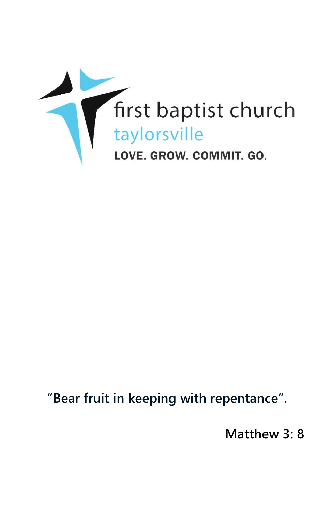

**"Bear fruit in keeping with repentance".**

**Matthew 3: 8**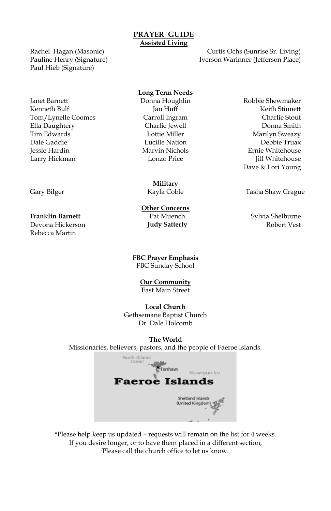## **PRAYER GUIDE Assisted Living**

Rachel Hagan (Masonic) Pauline Henry (Signature) Paul Hieb (Signature)

Janet Barnett Donna Houghlin Robbie Shewmaker Kenneth Bulf **Guide Communist Communist Communist Communist Communist Communist Communist Communist Communist Communist Communist Communist Communist Communist Communist Communist Communist Communist Communist Communist Co** Tom/Lynelle Coomes Carroll Ingram Charlie Stout Ella Daughtery Charlie Jewell Donna Smith Tim Edwards **Marilyn Sweazy** Lottie Miller **Marilyn Sweazy** Dale Gaddie Lucille Nation Debbie Truax Jessie Hardin Marvin Nichols Ernie Whitehouse Larry Hickman Lonzo Price Jill Whitehouse

Devona Hickerson **Judy Satterly** Rebecca Martin

Iverson Warinner (Jefferson Place)

Curtis Ochs (Sunrise Sr. Living)

## **Long Term Needs**

**Military**

**Other Concerns**

**FBC Prayer Emphasis** FBC Sunday School

> **Our Community** East Main Street

### **Local Church**

Gethsemane Baptist Church Dr. Dale Holcomb

# **The World**

Missionaries, believers, pastors, and the people of Faeroe Islands.



\*Please help keep us updated – requests will remain on the list for 4 weeks. If you desire longer, or to have them placed in a different section, Please call the church office to let us know.

Dave & Lori Young

Gary Bilger **Tasha Shaw Crague Coble** Tasha Shaw Crague

**Franklin Barnett Franklin Barnett** Pat Muench **Pat Sylvia Shelburne**<br> **Pat Mudy Satterly Pat Sylvia Shelburne** Robert Vest